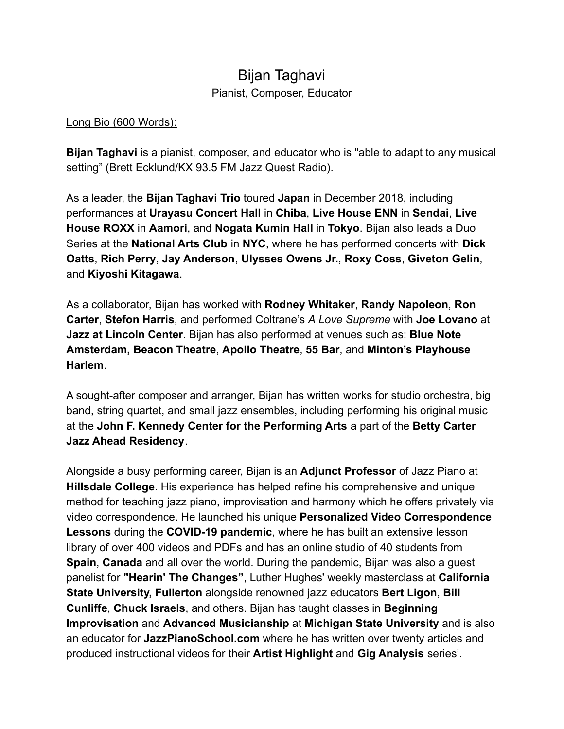## Bijan Taghavi Pianist, Composer, Educator

## Long Bio (600 Words):

**Bijan Taghavi** is a pianist, composer, and educator who is "able to adapt to any musical setting" (Brett Ecklund/KX 93.5 FM Jazz Quest Radio).

As a leader, the **Bijan Taghavi Trio** toured **Japan** in December 2018, including performances at **Urayasu Concert Hall** in **Chiba**, **Live House ENN** in **Sendai**, **Live House ROXX** in **Aamori**, and **Nogata Kumin Hall** in **Tokyo**. Bijan also leads a Duo Series at the **National Arts Club** in **NYC**, where he has performed concerts with **Dick Oatts**, **Rich Perry**, **Jay Anderson**, **Ulysses Owens Jr.**, **Roxy Coss**, **Giveton Gelin**, and **Kiyoshi Kitagawa**.

As a collaborator, Bijan has worked with **Rodney Whitaker**, **Randy Napoleon**, **Ron Carter**, **Stefon Harris**, and performed Coltrane's *A Love Supreme* with **Joe Lovano** at **Jazz at Lincoln Center**. Bijan has also performed at venues such as: **Blue Note Amsterdam, Beacon Theatre**, **Apollo Theatre**, **55 Bar**, and **Minton's Playhouse Harlem**.

A sought-after composer and arranger, Bijan has written works for studio orchestra, big band, string quartet, and small jazz ensembles, including performing his original music at the **John F. Kennedy Center for the Performing Arts** a part of the **Betty Carter Jazz Ahead Residency**.

Alongside a busy performing career, Bijan is an **Adjunct Professor** of Jazz Piano at **Hillsdale College**. His experience has helped refine his comprehensive and unique method for teaching jazz piano, improvisation and harmony which he offers privately via video correspondence. He launched his unique **Personalized Video Correspondence Lessons** during the **COVID-19 pandemic**, where he has built an extensive lesson library of over 400 videos and PDFs and has an online studio of 40 students from **Spain**, **Canada** and all over the world. During the pandemic, Bijan was also a guest panelist for **"Hearin' The Changes"**, Luther Hughes' weekly masterclass at **California State University, Fullerton** alongside renowned jazz educators **Bert Ligon**, **Bill Cunliffe**, **Chuck Israels**, and others. Bijan has taught classes in **Beginning Improvisation** and **Advanced Musicianship** at **Michigan State University** and is also an educator for **JazzPianoSchool.com** where he has written over twenty articles and produced instructional videos for their **Artist Highlight** and **Gig Analysis** series'.